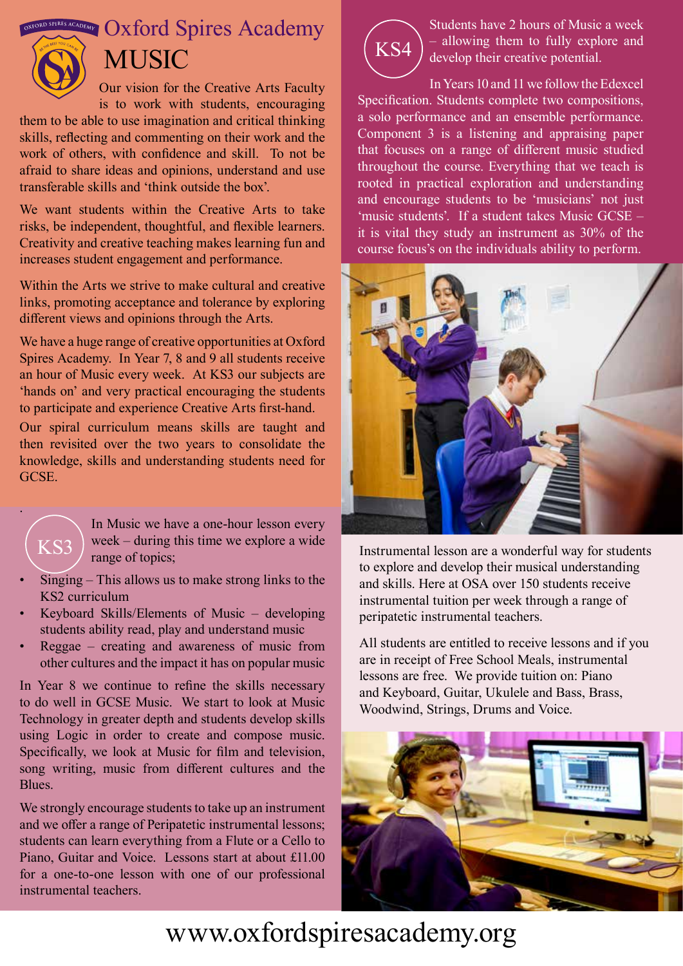$\mathbb{R}$  **OXFORD Spires Academy** 



## **MUSIC**

Our vision for the Creative Arts Faculty is to work with students, encouraging

them to be able to use imagination and critical thinking skills, reflecting and commenting on their work and the work of others, with confidence and skill. To not be afraid to share ideas and opinions, understand and use transferable skills and 'think outside the box'.

We want students within the Creative Arts to take risks, be independent, thoughtful, and flexible learners. Creativity and creative teaching makes learning fun and increases student engagement and performance.

Within the Arts we strive to make cultural and creative links, promoting acceptance and tolerance by exploring different views and opinions through the Arts.

We have a huge range of creative opportunities at Oxford Spires Academy. In Year 7, 8 and 9 all students receive an hour of Music every week. At KS3 our subjects are 'hands on' and very practical encouraging the students to participate and experience Creative Arts first-hand.

Our spiral curriculum means skills are taught and then revisited over the two years to consolidate the knowledge, skills and understanding students need for GCSE.

KS3

.

In Music we have a one-hour lesson every week – during this time we explore a wide range of topics;

- $Singing This allows us to make strong links to the$ KS2 curriculum
- Keyboard Skills/Elements of Music  $-$  developing students ability read, play and understand music
- Reggae creating and awareness of music from other cultures and the impact it has on popular music

In Year 8 we continue to refine the skills necessary to do well in GCSE Music. We start to look at Music Technology in greater depth and students develop skills using Logic in order to create and compose music. Specifically, we look at Music for film and television, song writing, music from different cultures and the Blues.

We strongly encourage students to take up an instrument and we offer a range of Peripatetic instrumental lessons; students can learn everything from a Flute or a Cello to Piano, Guitar and Voice. Lessons start at about £11.00 for a one-to-one lesson with one of our professional instrumental teachers.



Students have 2 hours of Music a week – allowing them to fully explore and develop their creative potential.

In Years 10 and 11 we follow the Edexcel Specification. Students complete two compositions, a solo performance and an ensemble performance. Component 3 is a listening and appraising paper that focuses on a range of different music studied throughout the course. Everything that we teach is rooted in practical exploration and understanding and encourage students to be 'musicians' not just 'music students'. If a student takes Music GCSE – it is vital they study an instrument as 30% of the course focus's on the individuals ability to perform.



Instrumental lesson are a wonderful way for students to explore and develop their musical understanding and skills. Here at OSA over 150 students receive instrumental tuition per week through a range of peripatetic instrumental teachers.

All students are entitled to receive lessons and if you are in receipt of Free School Meals, instrumental lessons are free. We provide tuition on: Piano and Keyboard, Guitar, Ukulele and Bass, Brass, Woodwind, Strings, Drums and Voice.



## www.oxfordspiresacademy.org